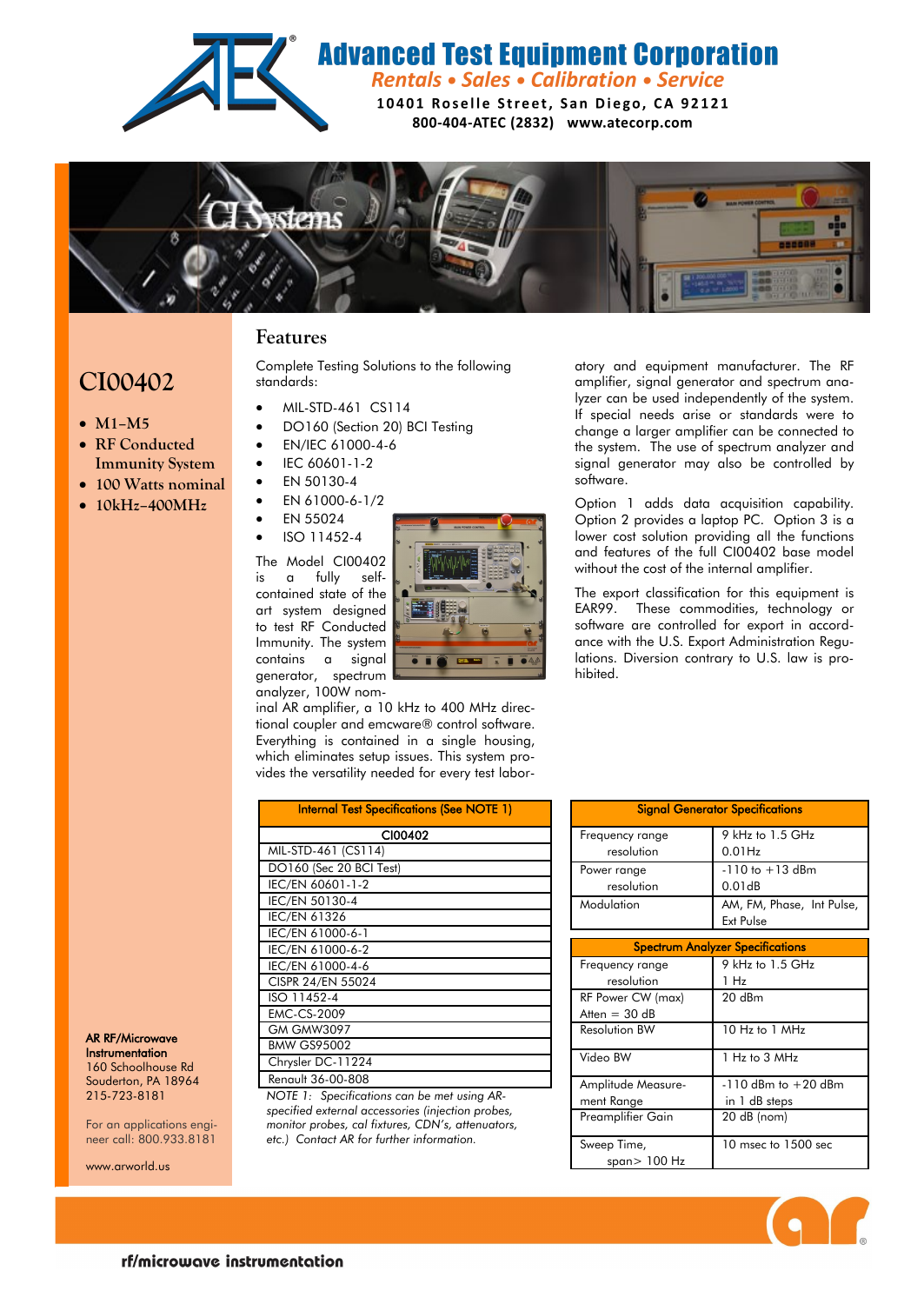**Advanced Test Equipment Corporation** 

**Rentals • Sales • Calibration • Service** 

10401 Roselle Street, San Diego, CA 92121 800-404-ATEC (2832) www.atecorp.com



## **Features**

Complete Testing Solutions to the following standards:

- MIL-STD-461 CS114
- DO160 (Section 20) BCI Testing
- EN/IEC 61000-4-6 • **RF Conducted Immunity System**

**CI00402**

• **100 Watts nominal** • **10kHz–400MHz**

• **M1–M5**

- IEC 60601-1-2
- EN 50130-4
- EN 61000-6-1/2
	- EN 55024 • ISO 11452-4

The Model CI00402 is a fully selfcontained state of the art system designed to test RF Conducted Immunity. The system contains a signal generator, spectrum analyzer, 100W nom-



inal AR amplifier, a 10 kHz to 400 MHz directional coupler and emcware® control software. Everything is contained in a single housing, which eliminates setup issues. This system provides the versatility needed for every test labor-

> Internal Test Specifications (See NOTE 1) CI00402

| atory and equipment manufacturer. The RF       |
|------------------------------------------------|
| amplifier, signal generator and spectrum ana-  |
| lyzer can be used independently of the system. |
| If special needs arise or standards were to    |
| change a larger amplifier can be connected to  |
| the system. The use of spectrum analyzer and   |
| signal generator may also be controlled by     |
| software.                                      |
|                                                |

Option 1 adds data acquisition capability. Option 2 provides a laptop PC. Option 3 is a lower cost solution providing all the functions and features of the full CI00402 base model without the cost of the internal amplifier.

The export classification for this equipment is EAR99. These commodities, technology or software are controlled for export in accordance with the U.S. Export Administration Regulations. Diversion contrary to U.S. law is prohibited.

| <b>Signal Generator Specifications</b> |                                         |  |
|----------------------------------------|-----------------------------------------|--|
| Frequency range                        | 9 kHz to 1.5 GHz                        |  |
| resolution                             | $0.01$ Hz                               |  |
| Power range                            | $-110$ to $+13$ dBm                     |  |
| resolution                             | 0.01dB                                  |  |
| Modulation                             | AM, FM, Phase, Int Pulse,               |  |
|                                        | Ext Pulse                               |  |
|                                        |                                         |  |
|                                        | <b>Spectrum Analyzer Specifications</b> |  |
| Frequency range                        | 9 kHz to 1.5 GHz                        |  |
| resolution                             | 1 Hz                                    |  |
| RF Power CW (max)                      | 20 dBm                                  |  |
| Atten $=$ 30 dB                        |                                         |  |
| Resolution BW                          | 10 Hz to 1 MHz                          |  |
| Video BW                               | $1 Hz$ to $3 MHz$                       |  |
| Amplitude Measure-                     | $-110$ dBm to $+20$ dBm                 |  |
| ment Range                             | in 1 dB steps                           |  |
| Preamplifier Gain                      | 20 dB (nom)                             |  |
| Sweep Time,                            | 10 msec to 1500 sec                     |  |
| span> 100 Hz                           |                                         |  |



AR RF/Microwave **Instrumentation** 160 Schoolhouse Rd Souderton, PA 18964

For an applications engineer call: 800.933.8181

www.arworld.us





MIL-STD-461 (CS114) DO160 (Sec 20 BCI Test)

| IEC/EN 61000-6-1      |
|-----------------------|
| IEC/EN 61000-6-2      |
| IEC/EN 61000-4-6      |
| CISPR 24/EN 55024     |
| ISO 11452-4           |
| <b>EMC-CS-2009</b>    |
| <b>GM GMW3097</b>     |
| <b>BMW GS95002</b>    |
| Chrysler DC-11224     |
| Renault 36-00-808     |
| ه با<br>$\mathcal{L}$ |

*NOTE 1: Specifications can be met using ARspecified external accessories (injection probes, monitor probes, cal fixtures, CDN's, attenuators, etc.) Contact AR for further information.*